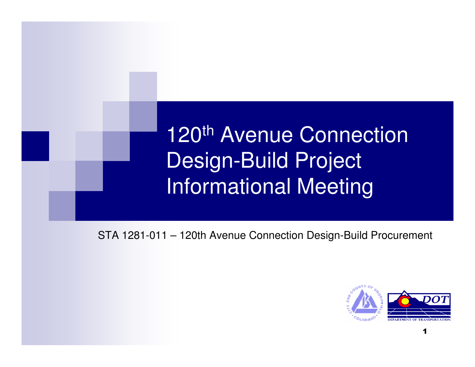#### 120<sup>th</sup> Avenue Connection Design-Build ProjectInformational Meeting

STA 1281-011 – 120th Avenue Connection Design-Build Procurement

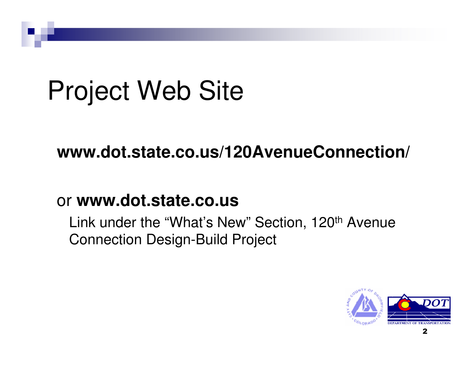# Project Web Site

#### **www.dot.state.co.us/120AvenueConnection/**

#### or **www.dot.state.co.us**

Link under the "What's New" Section, 120<sup>th</sup> Avenue Connection Design-Build Project

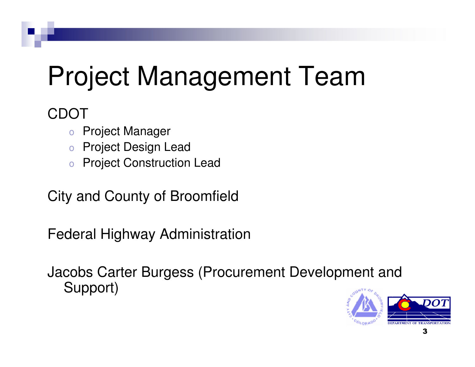# Project Management Team

#### CDOT

- oProject Manager
- oProject Design Lead
- o Project Construction Lead o

City and County of Broomfield

Federal Highway Administration

Jacobs Carter Burgess (Procurement Development and Support)

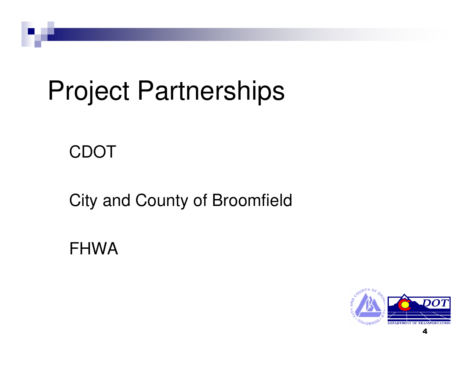## Project Partnerships

#### CDOT

#### City and County of Broomfield

FHWA

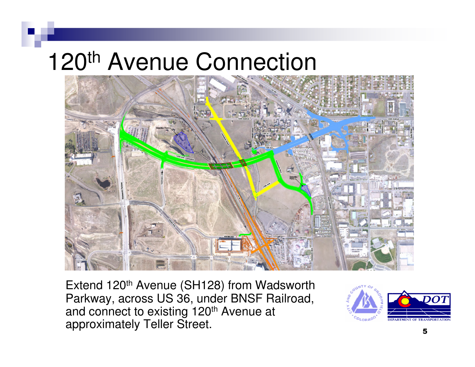### 120<sup>th</sup> Avenue Connection



Extend 120<sup>th</sup> Avenue (SH128) from Wadsworth Parkway, across US 36, under BNSF Railroad, and connect to existing 120<sup>th</sup> Avenue at approximately Teller Street.

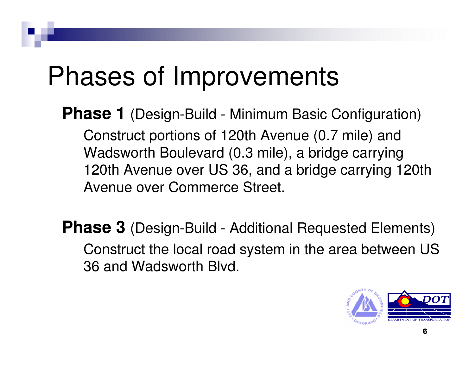## Phases of Improvements

**Phase 1** (Design-Build - Minimum Basic Configuration)

Construct portions of 120th Avenue (0.7 mile) and Wadsworth Boulevard (0.3 mile), a bridge carrying 120th Avenue over US 36, and a bridge carrying 120th Avenue over Commerce Street.

**Phase 3** (Design-Build - Additional Requested Elements) Construct the local road system in the area between US 36 and Wadsworth Blvd.

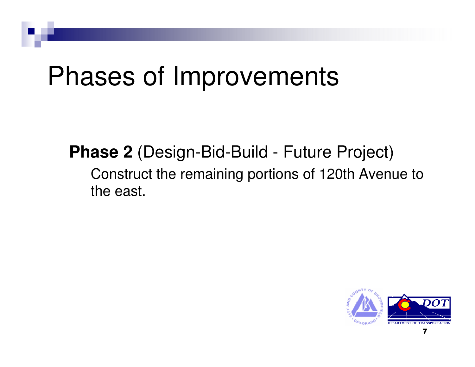## Phases of Improvements

**Phase 2** (Design-Bid-Build - Future Project) Construct the remaining portions of 120th Avenue tothe east.

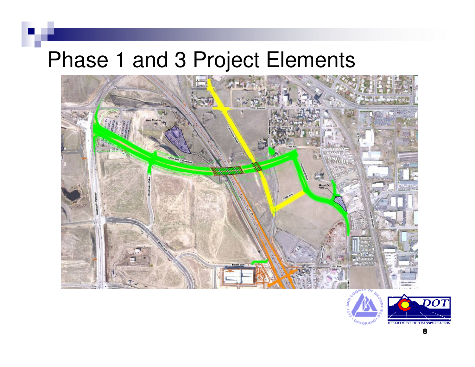#### Phase 1 and 3 Project Elements



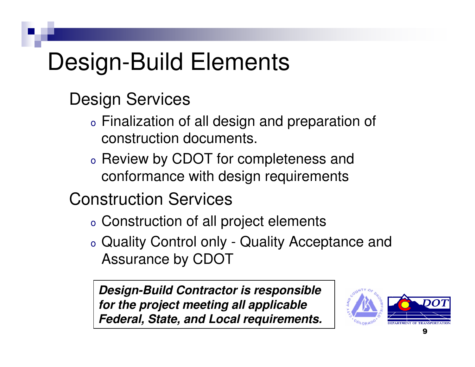### Design-Build Elements

#### Design Services

- o $\circ$  Finalization of all design and preparation of construction documents.
- o<sub>o</sub> Review by CDOT for completeness and conformance with design requirements

Construction Services

- o $\circ$  Construction of all project elements
- o Quality Control only - Quality Acceptance and Assurance by CDOT

**Design-Build Contractor is responsible for the project meeting all applicable Federal, State, and Local requirements.**

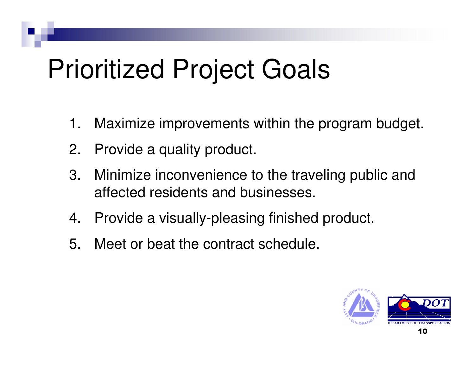## Prioritized Project Goals

- 1. Maximize improvements within the program budget.
- 2. Provide a quality product.
- 3. Minimize inconvenience to the traveling public and affected residents and businesses.
- 4. Provide a visually-pleasing finished product.
- 5. Meet or beat the contract schedule.

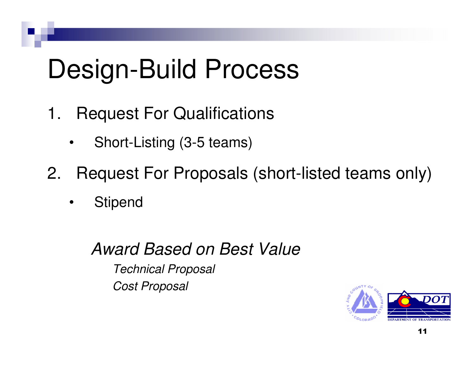## Design-Build Process

- 1. Request For Qualifications
	- •Short-Listing (3-5 teams)
- 2. Request For Proposals (short-listed teams only)
	- •**Stipend**

#### Award Based on Best ValueTechnical ProposalCost Proposal

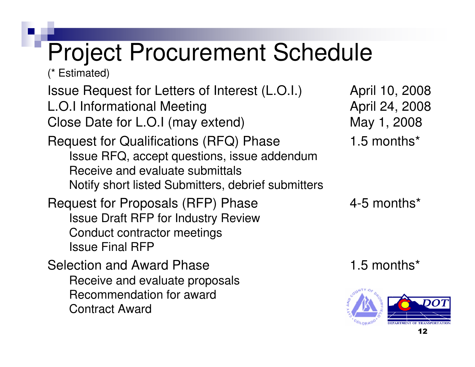### Project Procurement Schedule

(\* Estimated)

Issue Request for Letters of Interest (L.O.I.) April 10, 2008L.O.I Informational Meeting Close Date for L.O.I (may extend) May 1, 2008

Request for Qualifications (RFQ) Phase Issue RFQ, accept questions, issue addendumReceive and evaluate submittalsNotify short listed Submitters, debrief submitters

Request for Proposals (RFP) Phase 4-5 months\* Issue Draft RFP for Industry Review Conduct contractor meetingsIssue Final RFP

Selection and Award Phase 1.5 months\* Receive and evaluate proposalsRecommendation for awardContract Award

April 24, 2008 1.5 months\*